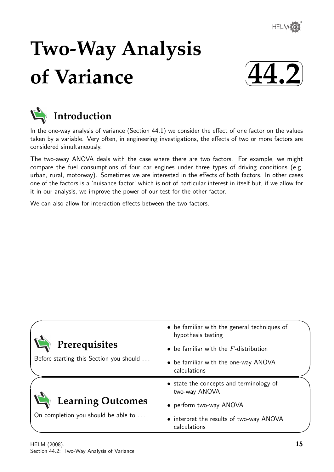

# **Two-Way Analysis of Variance**





# **Introduction**

In the one-way analysis of variance (Section 44.1) we consider the effect of one factor on the values taken by a variable. Very often, in engineering investigations, the effects of two or more factors are considered simultaneously.

The two-away ANOVA deals with the case where there are two factors. For example, we might compare the fuel consumptions of four car engines under three types of driving conditions (e.g. urban, rural, motorway). Sometimes we are interested in the effects of both factors. In other cases one of the factors is a 'nuisance factor' which is not of particular interest in itself but, if we allow for it in our analysis, we improve the power of our test for the other factor.

We can also allow for interaction effects between the two factors.

|                                         | • be familiar with the general techniques of<br>hypothesis testing |
|-----------------------------------------|--------------------------------------------------------------------|
| Prerequisites                           | $\bullet$ be familiar with the $F$ -distribution                   |
| Before starting this Section you should | • be familiar with the one-way ANOVA<br>calculations               |
|                                         | • state the concepts and terminology of<br>two-way ANOVA           |
| <b>Learning Outcomes</b>                | • perform two-way ANOVA                                            |
| On completion you should be able to     | • interpret the results of two-way ANOVA<br>calculations           |

 $\overline{\phantom{0}}$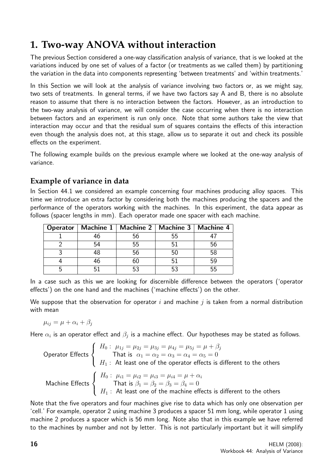# **1. Two-way ANOVA without interaction**

The previous Section considered a one-way classification analysis of variance, that is we looked at the variations induced by one set of values of a factor (or treatments as we called them) by partitioning the variation in the data into components representing 'between treatments' and 'within treatments.'

In this Section we will look at the analysis of variance involving two factors or, as we might say, two sets of treatments. In general terms, if we have two factors say A and B, there is no absolute reason to assume that there is no interaction between the factors. However, as an introduction to the two-way analysis of variance, we will consider the case occurring when there is no interaction between factors and an experiment is run only once. Note that some authors take the view that interaction may occur and that the residual sum of squares contains the effects of this interaction even though the analysis does not, at this stage, allow us to separate it out and check its possible effects on the experiment.

The following example builds on the previous example where we looked at the one-way analysis of variance.

# **Example of variance in data**

In Section 44.1 we considered an example concerning four machines producing alloy spaces. This time we introduce an extra factor by considering both the machines producing the spacers and the performance of the operators working with the machines. In this experiment, the data appear as follows (spacer lengths in mm). Each operator made one spacer with each machine.

|    | Operator   Machine 1   Machine 2   Machine 3   Machine 4 |    |
|----|----------------------------------------------------------|----|
|    | 56                                                       |    |
| 54 | 55                                                       | 56 |
|    | 56                                                       | 58 |
|    |                                                          | ҕс |
|    | 53                                                       | հհ |

In a case such as this we are looking for discernible difference between the operators ('operator effects') on the one hand and the machines ('machine effects') on the other.

We suppose that the observation for operator i and machine  $i$  is taken from a normal distribution with mean

$$
\mu_{ij} = \mu + \alpha_i + \beta_j
$$

Here  $\alpha_i$  is an operator effect and  $\beta_j$  is a machine effect. Our hypotheses may be stated as follows.

Operator Effects

\n
$$
\begin{cases}\nH_0: \mu_{1j} = \mu_{2j} = \mu_{3j} = \mu_{4j} = \mu_{5j} = \mu + \beta_j \\
\text{That is } \alpha_1 = \alpha_2 = \alpha_3 = \alpha_4 = \alpha_5 = 0 \\
H_1: \text{At least one of the operator effects is different to the others} \\
\text{Machine Effects} \begin{cases}\nH_0: \mu_{i1} = \mu_{i2} = \mu_{i3} = \mu_{i4} = \mu + \alpha_i \\
\text{That is } \beta_1 = \beta_2 = \beta_3 = \beta_4 = 0 \\
H_1: \text{At least one of the machine effects is different to the others}\n\end{cases}
$$

Note that the five operators and four machines give rise to data which has only one observation per 'cell.' For example, operator 2 using machine 3 produces a spacer 51 mm long, while operator 1 using machine 2 produces a spacer which is 56 mm long. Note also that in this example we have referred to the machines by number and not by letter. This is not particularly important but it will simplify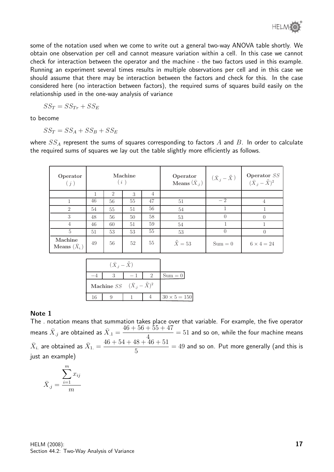some of the notation used when we come to write out a general two-way ANOVA table shortly. We obtain one observation per cell and cannot measure variation within a cell. In this case we cannot check for interaction between the operator and the machine - the two factors used in this example. Running an experiment several times results in multiple observations per cell and in this case we should assume that there may be interaction between the factors and check for this. In the case considered here (no interaction between factors), the required sums of squares build easily on the relationship used in the one-way analysis of variance

$$
SS_T = SS_{Tr} + SS_E
$$

to become

$$
SS_T = SS_A + SS_B + SS_E
$$

where  $SS_A$  represent the sums of squares corresponding to factors  $A$  and  $B$ . In order to calculate the required sums of squares we lay out the table slightly more efficiently as follows.

| Operator<br>(j)                          |    | (i)            | Machine |                | Operator<br>Means $(\bar{X}_{.j})$ | $(\bar{X}_{.j}-\bar{\bar{X}})$ | Operator $\mathit{SS}$<br>$(\bar{X}_{.j} - \bar{\bar{X}})^2$ |
|------------------------------------------|----|----------------|---------|----------------|------------------------------------|--------------------------------|--------------------------------------------------------------|
|                                          |    | $\overline{2}$ | 3       | $\overline{4}$ |                                    |                                |                                                              |
|                                          | 46 | 56             | 55      | 47             | 51                                 | $-2$                           | 4                                                            |
| $\overline{2}$                           | 54 | 55             | 51      | 56             | 54                                 |                                |                                                              |
| 3                                        | 48 | 56             | 50      | 58             | 53                                 | $\left($                       |                                                              |
| $\overline{4}$                           | 46 | 60             | 51      | 59             | 54                                 |                                |                                                              |
| $5\overline{)}$                          | 51 | 53             | 53      | 55             | 53                                 | $\Omega$                       |                                                              |
| Machine<br><b>Means</b> $(\bar{X}_{i.})$ | 49 | 56             | 52      | 55             | $\bar{\bar{X}}=53$                 | $Sum = 0$                      | $6 \times 4 = 24$                                            |

|    | $(\bar{X}_{i} - \bar{X})$                     |  |                     |
|----|-----------------------------------------------|--|---------------------|
|    |                                               |  | $Sum = 0$           |
|    | Machine SS $(\bar{X}_{.i} - \bar{\bar{X}})^2$ |  |                     |
| 16 |                                               |  | $30 \times 5 = 150$ |

#### Note 1

The . notation means that summation takes place over that variable. For example, the five operator means  $\bar X_{.j}$  are obtained as  $\bar X_{.1} =$  $46 + 56 + 55 + 47$ 4  $= 51$  and so on, while the four machine means  $\bar{X}_{i.}$  are obtained as  $\bar{X}_{1.} =$  $46 + 54 + 48 + 46 + 51$ 5  $= 49$  and so on. Put more generally (and this is just an example)

$$
\bar{X}_{.j} = \frac{\sum_{i=1}^{m} x_{ij}}{m}
$$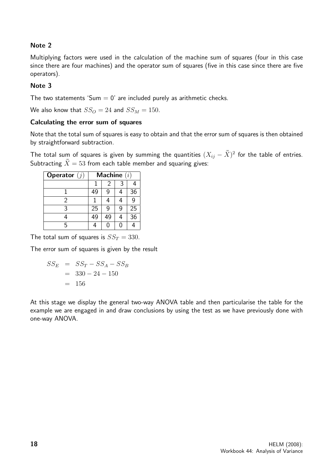## Note 2

Multiplying factors were used in the calculation of the machine sum of squares (four in this case since there are four machines) and the operator sum of squares (five in this case since there are five operators).

## Note 3

The two statements 'Sum  $= 0$ ' are included purely as arithmetic checks.

We also know that  $SS_O = 24$  and  $SS_M = 150$ .

#### Calculating the error sum of squares

Note that the total sum of squares is easy to obtain and that the error sum of squares is then obtained by straightforward subtraction.

The total sum of squares is given by summing the quantities  $(X_{ij}-\bar{\bar{X}})^2$  for the table of entries. Subtracting  $\bar{\bar{X}} = 53$  from each table member and squaring gives:

| <b>Operator</b> $(j)$ | Machine $(i)$ |    |   |    |
|-----------------------|---------------|----|---|----|
|                       |               | 2  |   |    |
|                       | 49            |    |   | 36 |
|                       |               |    |   |    |
| 3                     | 25            | g  | q | 25 |
|                       | 49            | 49 |   | 36 |
|                       |               |    | በ |    |

The total sum of squares is  $SS_T = 330$ .

The error sum of squares is given by the result

$$
SS_E = SS_T - SS_A - SS_B
$$
  
= 330 - 24 - 150  
= 156

At this stage we display the general two-way ANOVA table and then particularise the table for the example we are engaged in and draw conclusions by using the test as we have previously done with one-way ANOVA.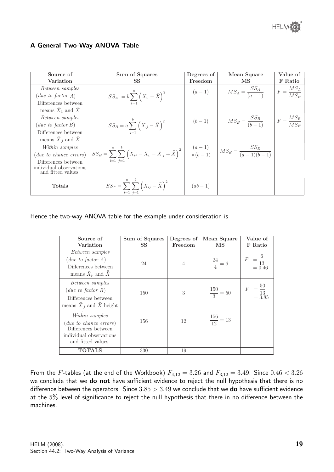

#### A General Two-Way ANOVA Table

| Source of                                     | Sum of Squares                                                                                                                                                                       | Degrees of | Mean Square                 | Value of                |
|-----------------------------------------------|--------------------------------------------------------------------------------------------------------------------------------------------------------------------------------------|------------|-----------------------------|-------------------------|
| Variation                                     | <b>SS</b>                                                                                                                                                                            | Freedom    | MS                          | F Ratio                 |
| Between samples                               |                                                                                                                                                                                      |            | $MS_A = \frac{SS_A}{(a-1)}$ | $F = \frac{MS_A}{MS_E}$ |
| $(due\ to\ factor\ A)$                        | $SS_A\ =b\sum_{i=1}^n\left(\bar{X}_{i.}-\bar{\bar{X}}\right)^2\ .$                                                                                                                   | $(a-1)$    |                             |                         |
| Differences between                           |                                                                                                                                                                                      |            |                             |                         |
| means $\bar{X}_i$ and $\bar{X}$               |                                                                                                                                                                                      |            |                             |                         |
| Between samples                               |                                                                                                                                                                                      |            |                             |                         |
| $(due\ to\ factor\ B)$                        | $SS_B = a \sum_{j=1}^{b} (\bar{X}_{.j} - \bar{\bar{X}})^2$                                                                                                                           | $(b-1)$    | $MS_B = \frac{SS_B}{(b-1)}$ | $F = \frac{MS_B}{MS_E}$ |
| Differences between                           |                                                                                                                                                                                      |            |                             |                         |
| means $\bar{X}_i$ and $\bar{X}$               |                                                                                                                                                                                      |            |                             |                         |
| Within samples                                |                                                                                                                                                                                      |            |                             |                         |
| ( <i>due to chance errors</i> )               | $SS_E = \sum_{i=1}^{a} \sum_{j=1}^{b} (X_{ij} - \bar{X}_{i.} - \bar{X}_{.j} + \bar{\bar{X}})^2 \begin{vmatrix} (a-1) \\ \times (b-1) \end{vmatrix}$ $MS_E = \frac{SS_E}{(a-1)(b-1)}$ |            |                             |                         |
| Differences between                           | $i=1$ $i=1$                                                                                                                                                                          |            |                             |                         |
| individual observations<br>and fitted values. |                                                                                                                                                                                      |            |                             |                         |
|                                               |                                                                                                                                                                                      |            |                             |                         |
| <b>Totals</b>                                 | $SS_T = \sum_{i=1}^{N} \sum_{j=1}^{N} \left(X_{ij} - \bar{\bar{X}}\right)^2$                                                                                                         | $(ab-1)$   |                             |                         |
|                                               | $i=1$ $i=1$                                                                                                                                                                          |            |                             |                         |

#### Hence the two-way ANOVA table for the example under consideration is

| Source of<br>Variation                                                                                                | Sum of Squares<br>SS | Degrees of<br>Freedom | Mean Square<br>MS     | Value of<br>F Ratio                    |
|-----------------------------------------------------------------------------------------------------------------------|----------------------|-----------------------|-----------------------|----------------------------------------|
| Between samples<br>$(due\ to\ factor\ A)$<br>Differences between<br>means $\bar{X}_i$ and $\bar{X}$                   | 24                   | 4                     | $\frac{24}{4} = 6$    | F<br>$=\frac{5}{13}$<br>= 0.46         |
| Between samples<br>$(due\ to\ factor\ B)$<br>Differences between<br>means $\bar{X}_i$ and $\bar{X}$ height            | 150                  | 3                     | $\frac{150}{3} = 50$  | $=\frac{50}{13}$<br>= 3.85<br>$\cal F$ |
| Within samples<br>$(due\ to\ chance\ errors)$<br>Differences between<br>individual observations<br>and fitted values. | 156                  | 12                    | $\frac{156}{12} = 13$ |                                        |
| TOTALS                                                                                                                | 330                  | 19                    |                       |                                        |

From the F-tables (at the end of the Workbook)  $F_{4,12} = 3.26$  and  $F_{3,12} = 3.49$ . Since  $0.46 < 3.26$ we conclude that we do not have sufficient evidence to reject the null hypothesis that there is no difference between the operators. Since  $3.85 > 3.49$  we conclude that we **do** have sufficient evidence at the 5% level of significance to reject the null hypothesis that there in no difference between the machines.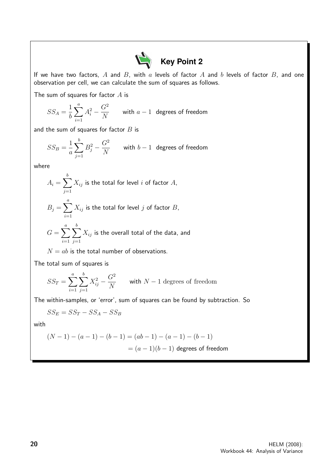

If we have two factors,  $A$  and  $B$ , with  $a$  levels of factor  $A$  and  $b$  levels of factor  $B$ , and one observation per cell, we can calculate the sum of squares as follows.

The sum of squares for factor  $A$  is

$$
SS_A = \frac{1}{b}\sum_{i=1}^a A_i^2 - \frac{G^2}{N} \qquad \text{with $a-1$ degrees of freedom}
$$

and the sum of squares for factor  $B$  is

$$
SS_B = \frac{1}{a} \sum_{j=1}^{b} B_j^2 - \frac{G^2}{N} \qquad \text{with } b-1 \text{ degrees of freedom}
$$

where

$$
A_i = \sum_{j=1}^{b} X_{ij}
$$
 is the total for level *i* of factor *A*,  

$$
B_j = \sum_{i=1}^{a} X_{ij}
$$
 is the total for level *j* of factor *B*,  

$$
G = \sum_{i=1}^{a} \sum_{j=1}^{b} X_{ij}
$$
 is the overall total of the data, and

 $N = ab$  is the total number of observations.

The total sum of squares is

$$
SS_T = \sum_{i=1}^{a} \sum_{j=1}^{b} X_{ij}^2 - \frac{G^2}{N}
$$
 with  $N-1$  degrees of freedom

The within-samples, or 'error', sum of squares can be found by subtraction. So

$$
SS_E = SS_T - SS_A - SS_B
$$

with

$$
(N-1) - (a-1) - (b-1) = (ab-1) - (a-1) - (b-1)
$$

$$
= (a-1)(b-1) \text{ degrees of freedom}
$$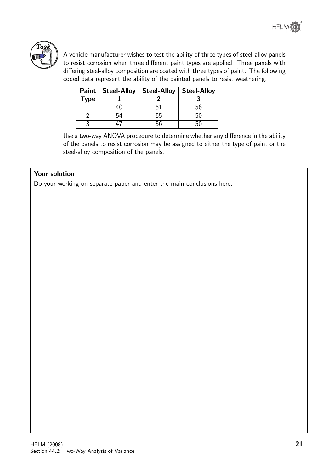

A vehicle manufacturer wishes to test the ability of three types of steel-alloy panels to resist corrosion when three different paint types are applied. Three panels with differing steel-alloy composition are coated with three types of paint. The following coded data represent the ability of the painted panels to resist weathering.

| Paint $ $   | Steel-Alloy | <b>Steel-Alloy</b> | <b>Steel-Alloy</b> |
|-------------|-------------|--------------------|--------------------|
| <b>Type</b> |             |                    |                    |
|             |             |                    | 56                 |
|             |             | .hh                |                    |
|             |             |                    |                    |

Use a two-way ANOVA procedure to determine whether any difference in the ability of the panels to resist corrosion may be assigned to either the type of paint or the steel-alloy composition of the panels.

#### Your solution

Do your working on separate paper and enter the main conclusions here.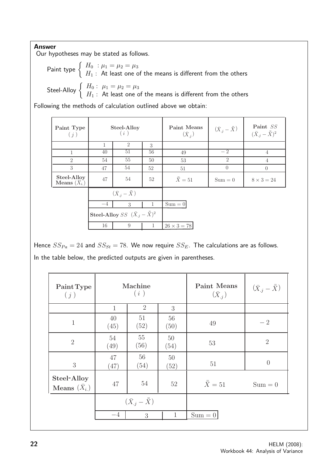## Answer

Our hypotheses may be stated as follows.

Point type 
$$
\left\{\begin{array}{ll} H_0: \mu_1 = \mu_2 = \mu_3 \\ H_1: \text{ At least one of the means is different from the others} \end{array}\right.
$$

\nSteel-Alloy  $\left\{\begin{array}{ll} H_0: \mu_1 = \mu_2 = \mu_3 \\ H_1: \text{ At least one of the means is different from the others} \end{array}\right.$ 

Following the methods of calculation outlined above we obtain:

| Paint Type<br>(j)                  |                                                          | Steel-Alloy<br>(i)               |              | Paint Means<br>$(\bar{X}_{.i})$ | $(\bar{X}_{.j} - \bar{\bar{X}})$ | Paint SS<br>$({\bar X}_{.i}-{\bar{\bar X}})^2$ |
|------------------------------------|----------------------------------------------------------|----------------------------------|--------------|---------------------------------|----------------------------------|------------------------------------------------|
|                                    | 1                                                        | $\overline{2}$                   | 3            |                                 |                                  |                                                |
| 1                                  | 40                                                       | 51                               | 56           | 49                              | $-2$                             | $\overline{4}$                                 |
| $\overline{2}$                     | 54                                                       | 55                               | 50           | 53                              | $\overline{2}$                   | $\overline{4}$                                 |
| 3                                  | 47                                                       | 54                               | 52           | 51                              | $\Omega$                         | $\theta$                                       |
| Steel-Alloy<br>Means $(\bar{X}_i)$ | 47                                                       | 54                               | 52           | $\bar{\bar{X}}=51$              | $Sum = 0$                        | $8 \times 3 = 24$                              |
|                                    |                                                          | $(\bar{X}_{.i} - \bar{\bar{X}})$ |              |                                 |                                  |                                                |
|                                    | $-4$                                                     | 3                                | 1            | $Sum = 0$                       |                                  |                                                |
|                                    | <b>Steel-Alloy</b> SS $(\bar{X}_{.j} - \bar{\bar{X}})^2$ |                                  |              |                                 |                                  |                                                |
|                                    | 16                                                       | 9                                | $\mathbf{1}$ | $26 \times 3 = 78$              |                                  |                                                |

Hence  $SS_{Pa} = 24$  and  $SS_{St} = 78$ . We now require  $SS_E$ . The calculations are as follows. In the table below, the predicted outputs are given in parentheses.

| Paint Type<br>(j)                            | Machine<br>(i)                   |                | <b>Paint Means</b><br>$(\bar{X}_{.j})$ | $(\bar{X}_{.j} - \bar{\bar{X}})$ |                |
|----------------------------------------------|----------------------------------|----------------|----------------------------------------|----------------------------------|----------------|
|                                              | $\mathbf{1}$                     | $\overline{2}$ | 3                                      |                                  |                |
| $\mathbf{1}$                                 | 40<br>(45)                       | 51<br>(52)     | 56<br>(50)                             | 49                               | $-2$           |
| $\overline{2}$                               | 54<br>(49)                       | 55<br>(56)     | $50\,$<br>(54)                         | 53                               | $\overline{2}$ |
| 3                                            | 47<br>(47)                       | 56<br>(54)     | 50<br>(52)                             | 51                               | $\theta$       |
| Steel-Alloy<br><b>Means</b> $(\bar{X}_{i.})$ | 47                               | 54             | 52                                     | $\bar{\bar{X}} = 51$             | $Sum = 0$      |
|                                              | $(\bar{X}_{.j} - \bar{\bar{X}})$ |                |                                        |                                  |                |
|                                              | $-4$                             | 3              | $\mathbf{1}$                           | $Sum = 0$                        |                |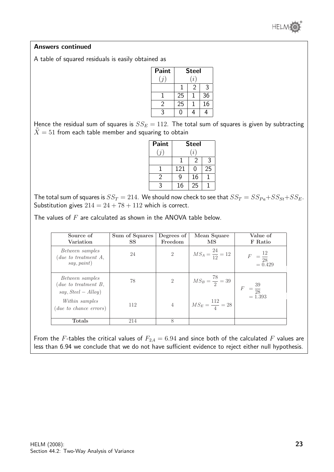

#### Answers continued

A table of squared residuals is easily obtained as

| Paint             | <b>Steel</b>    |   |                 |  |
|-------------------|-----------------|---|-----------------|--|
| $\left( j\right)$ | (i)             |   |                 |  |
|                   | 1               | 2 | 3               |  |
|                   | 25              |   | 36              |  |
| $\mathfrak{D}$    | $\overline{25}$ |   | $\overline{16}$ |  |
| ર                 |                 |   |                 |  |

Hence the residual sum of squares is  $SS_E = 112$ . The total sum of squares is given by subtracting  $\overline{X} = 51$  from each table member and squaring to obtain

| Paint        | <b>Steel</b> |    |    |  |  |
|--------------|--------------|----|----|--|--|
| (i)          | (i)          |    |    |  |  |
|              |              | 2  | 3  |  |  |
|              | 121          | O  | 25 |  |  |
| 2            | a            | 16 |    |  |  |
| $\mathbf{c}$ | 16           | 25 |    |  |  |

The total sum of squares is  $SS_T = 214$ . We should now check to see that  $SS_T = SS_{Pa} + SS_{St} + SS_E$ . Substitution gives  $214 = 24 + 78 + 112$  which is correct.

The values of  $F$  are calculated as shown in the ANOVA table below.

| Source of<br>Variation                                            | Sum of Squares<br><b>SS</b> | Degrees of<br>Freedom | Mean Square<br>MS            | Value of<br>F Ratio                           |
|-------------------------------------------------------------------|-----------------------------|-----------------------|------------------------------|-----------------------------------------------|
| Between samples<br>( due to treatment A,<br>say, paint)           | 24                          | $\overline{2}$        | $MS_A = \frac{24}{12} = 12$  | $F = \frac{12}{28}$<br>= 0.429                |
| Between samples<br>( due to treatment B,<br>$say, Steel - Alloy)$ | 78                          | $\overline{2}$        | $MS_B = \frac{78}{2} = 39$   | $=\frac{39}{28}$<br>= 1.393<br>$\overline{F}$ |
| Within samples<br>$(due\ to\ chance\ errors)$                     | 112                         | $\overline{4}$        | $M S_E = \frac{112}{4} = 28$ |                                               |
| <b>Totals</b>                                                     | 214                         | 8                     |                              |                                               |

From the F-tables the critical values of  $F_{2,4} = 6.94$  and since both of the calculated F values are less than 6.94 we conclude that we do not have sufficient evidence to reject either null hypothesis.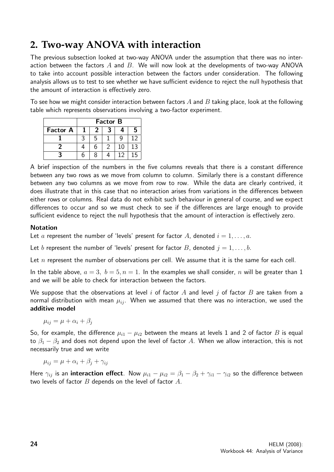# **2. Two-way ANOVA with interaction**

The previous subsection looked at two-way ANOVA under the assumption that there was no interaction between the factors  $A$  and  $B$ . We will now look at the developments of two-way ANOVA to take into account possible interaction between the factors under consideration. The following analysis allows us to test to see whether we have sufficient evidence to reject the null hypothesis that the amount of interaction is effectively zero.

To see how we might consider interaction between factors A and B taking place, look at the following table which represents observations involving a two-factor experiment.

|                 | <b>Factor B</b> |   |   |    |    |
|-----------------|-----------------|---|---|----|----|
| <b>Factor A</b> |                 |   |   |    |    |
|                 |                 | ৸ |   |    | 19 |
|                 |                 | 6 | ႒ | 10 | 13 |
|                 |                 |   |   |    | 15 |

A brief inspection of the numbers in the five columns reveals that there is a constant difference between any two rows as we move from column to column. Similarly there is a constant difference between any two columns as we move from row to row. While the data are clearly contrived, it does illustrate that in this case that no interaction arises from variations in the differences between either rows or columns. Real data do not exhibit such behaviour in general of course, and we expect differences to occur and so we must check to see if the differences are large enough to provide sufficient evidence to reject the null hypothesis that the amount of interaction is effectively zero.

#### Notation

Let a represent the number of 'levels' present for factor A, denoted  $i = 1, \ldots, a$ .

Let b represent the number of 'levels' present for factor B, denoted  $j = 1, \ldots, b$ .

Let  $n$  represent the number of observations per cell. We assume that it is the same for each cell.

In the table above,  $a = 3$ ,  $b = 5$ ,  $n = 1$ . In the examples we shall consider, n will be greater than 1 and we will be able to check for interaction between the factors.

We suppose that the observations at level i of factor A and level j of factor B are taken from a normal distribution with mean  $\mu_{ij}$ . When we assumed that there was no interaction, we used the additive model

$$
\mu_{ij} = \mu + \alpha_i + \beta_j
$$

So, for example, the difference  $\mu_{i1} - \mu_{i2}$  between the means at levels 1 and 2 of factor B is equal to  $\beta_1 - \beta_2$  and does not depend upon the level of factor A. When we allow interaction, this is not necessarily true and we write

 $\mu_{ij} = \mu + \alpha_i + \beta_j + \gamma_{ij}$ 

Here  $\gamma_{ij}$  is an **interaction effect**. Now  $\mu_{i1} - \mu_{i2} = \beta_1 - \beta_2 + \gamma_{i1} - \gamma_{i2}$  so the difference between two levels of factor  $B$  depends on the level of factor  $A$ .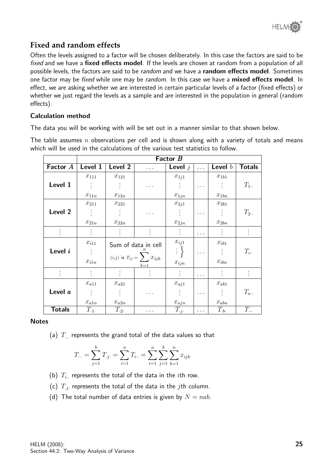# **Fixed and random effects**

Often the levels assigned to a factor will be chosen deliberately. In this case the factors are said to be fixed and we have a fixed effects model. If the levels are chosen at random from a population of all possible levels, the factors are said to be *random* and we have a **random effects model**. Sometimes one factor may be fixed while one may be random. In this case we have a mixed effects model. In effect, we are asking whether we are interested in certain particular levels of a factor (fixed effects) or whether we just regard the levels as a sample and are interested in the population in general (random effects).

#### Calculation method

The data you will be working with will be set out in a manner similar to that shown below.

The table assumes  $n$  observations per cell and is shown along with a variety of totals and means which will be used in the calculations of the various test statistics to follow.

|               | Factor B                      |           |                                    |                        |          |                             |               |
|---------------|-------------------------------|-----------|------------------------------------|------------------------|----------|-----------------------------|---------------|
| Factor A      | Level 1                       | Level 2   |                                    | Level $j$              | $\cdots$ | Level $b$                   | <b>Totals</b> |
|               | $x_{111}$                     | $x_{121}$ |                                    | $x_{1j1}$              |          | $x_{1b1}$                   |               |
| Level 1       | $\langle \frac{1}{2} \rangle$ |           |                                    |                        | .        | $\mathcal{L}$               | $T_{1}$ .     |
|               | $x_{11n}$                     | $x_{12n}$ |                                    | $x_{1jn}$              |          | $\boldsymbol{x}_{1bn}$      |               |
|               | $x_{211}$                     | $x_{221}$ |                                    | $x_{2j1}$              |          | $x_{2b1}$                   |               |
| Level 2       |                               |           |                                    |                        |          |                             | $T_2$ .       |
|               | $x_{21n}$                     | $x_{22n}$ |                                    | $x_{2jn}$              |          | $\boldsymbol{x}_{2bn}$      |               |
|               |                               |           |                                    |                        | .        |                             |               |
|               | $x_{i11}$                     |           | Sum of data in cell                | $x_{ij1}$              |          | $\boldsymbol{x}_{ib1}$      |               |
| Level i       | $\mathbb{R}^n$                |           | $(i,j)$ is $T_{ij} = \sum x_{ijk}$ | $\mathbb{R}^3$         | $\cdots$ | $\mathcal{L}_{\mathcal{L}}$ | $T_{i}$ .     |
|               | $x_{i1n}$                     |           | $k=1$                              | $\boldsymbol{x}_{ijn}$ |          | $\mathcal{X}_{ibn}$         |               |
|               |                               |           |                                    |                        | .        |                             |               |
|               | $x_{a11}$                     | $x_{a21}$ |                                    | $x_{aj1}$              |          | $x_{ab1}$                   |               |
| Level a       |                               |           | $\cdots$                           |                        | $\cdots$ | $\frac{1}{2}$ .             | $T_{a}$ .     |
|               | $x_{a1n}$                     | $x_{a2n}$ |                                    | $x_{ajn}$              |          | $x_{abn}$                   |               |
| <b>Totals</b> | $T_{\cdot 1}$ .               | $T_{.2}$  |                                    | $T_{\cdot j}$ .        |          | $T_{\cdot b}$ .             | $T_{\cdots}$  |

**Notes** 

(a)  $T_{\ldots}$  represents the grand total of the data values so that

$$
T... = \sum_{j=1}^{b} T_{\cdot j} = \sum_{i=1}^{a} T_{i} = \sum_{i=1}^{a} \sum_{j=1}^{b} \sum_{k=1}^{n} x_{ijk}
$$

- (b)  $T_i$  represents the total of the data in the *i*th row.
- (c)  $T_{i}$  represents the total of the data in the *j*th column.
- (d) The total number of data entries is given by  $N = nab$ .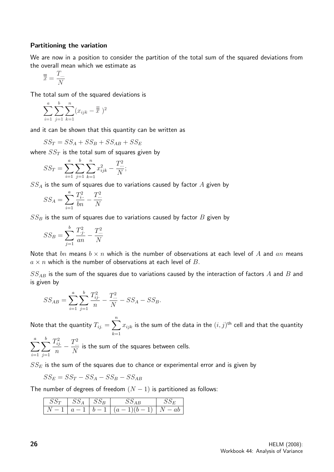#### Partitioning the variation

We are now in a position to consider the partition of the total sum of the squared deviations from the overall mean which we estimate as

$$
\overline{\overline{\overline{x}}} = \frac{T_{\dots}}{N}
$$

The total sum of the squared deviations is

$$
\sum_{i=1}^{a} \sum_{j=1}^{b} \sum_{k=1}^{n} (x_{ijk} - \overline{\overline{x}})^2
$$

and it can be shown that this quantity can be written as

$$
SS_T = SS_A + SS_B + SS_{AB} + SS_E
$$

where  $SS_T$  is the total sum of squares given by

$$
SS_T = \sum_{i=1}^{a} \sum_{j=1}^{b} \sum_{k=1}^{n} x_{ijk}^2 - \frac{T_{\cdots}^2}{N};
$$

 $SS_A$  is the sum of squares due to variations caused by factor  $A$  given by

$$
SS_A = \sum_{i=1}^{a} \frac{T_{i \cdot \cdot}^2}{bn} - \frac{T_{\cdot \cdot \cdot}^2}{N}
$$

 $SS_B$  is the sum of squares due to variations caused by factor  $B$  given by

$$
SS_B = \sum_{j=1}^{b} \frac{T_{\cdot j}^2}{an} - \frac{T_{\cdot \cdot \cdot}^2}{N}
$$

Note that bn means  $b \times n$  which is the number of observations at each level of A and an means  $a \times n$  which is the number of observations at each level of B.

 $SS_{AB}$  is the sum of the squares due to variations caused by the interaction of factors  $A$  and  $B$  and is given by

$$
SS_{AB} = \sum_{i=1}^{a} \sum_{j=1}^{b} \frac{T_{ij}^2}{n} - \frac{T_{\cdots}^2}{N} - SS_A - SS_B.
$$

Note that the quantity  $T_{ij.} = \sum^{n} \frac{1}{2\pi i}$  $_{k=1}$  $x_{ijk}$  is the sum of the data in the  $(i,j)^{\sf th}$  cell and that the quantity

 $\sum_{a}$  $i=1$  $\sum$ b  $j=1$  $T_{ij.}^2$ n  $-\frac{T^2}{N}$ N is the sum of the squares between cells.

 $SS_E$  is the sum of the squares due to chance or experimental error and is given by

$$
SS_E = SS_T - SS_A - SS_B - SS_{AB}
$$

The number of degrees of freedom  $(N - 1)$  is partitioned as follows:

|  | $SS_A$   $SS_B$ | νυ                    |  |
|--|-----------------|-----------------------|--|
|  | $a=1$           | $b-1 (a-1)(b-1) N-ab$ |  |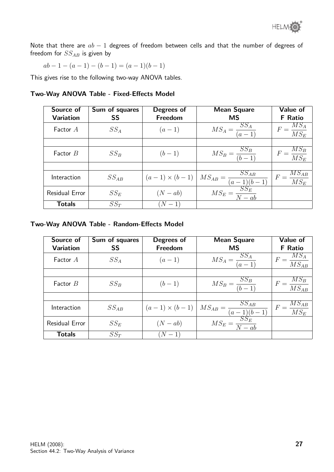Note that there are  $ab - 1$  degrees of freedom between cells and that the number of degrees of freedom for  $SS_{AB}$  is given by

$$
ab - 1 - (a - 1) - (b - 1) = (a - 1)(b - 1)
$$

This gives rise to the following two-way ANOVA tables.

#### Two-Way ANOVA Table - Fixed-Effects Model

| Source of<br><b>Variation</b> | Sum of squares<br><b>SS</b> | Degrees of<br>Freedom | <b>Mean Square</b><br><b>MS</b>                                        | Value of<br><b>F</b> Ratio        |
|-------------------------------|-----------------------------|-----------------------|------------------------------------------------------------------------|-----------------------------------|
| Factor A                      | $SS_A$                      | $(a-1)$               | $MS_A = \frac{SS_A}{(a-1)}$                                            | $F = \frac{MS_A}{MS_E}$           |
|                               |                             |                       |                                                                        |                                   |
| Factor $B$                    | $SS_B$                      | $(b-1)$               | $MS_B = \frac{SS_B}{(b-1)}$                                            | $F = \frac{MS_B}{MS_E}$           |
|                               |                             |                       |                                                                        |                                   |
| Interaction                   | $SS_{AB}$                   | $(a-1) \times (b-1)$  | $MS_{AB} = \frac{SS_{AB}}{(a-1)(b-1)}$<br>$MS_E = \frac{SS_E}{N - ab}$ | $\frac{M S_{AB}}{M S_E}$<br>$F =$ |
| Residual Error                | $SS_E$                      | $(N - ab)$            |                                                                        |                                   |
| <b>Totals</b>                 | $SS_T$                      | $(N - 1)$             |                                                                        |                                   |

#### Two-Way ANOVA Table - Random-Effects Model

| Source of<br><b>Variation</b> | Sum of squares<br>SS | Degrees of<br>Freedom | <b>Mean Square</b><br><b>MS</b>                                           | Value of<br><b>F</b> Ratio  |
|-------------------------------|----------------------|-----------------------|---------------------------------------------------------------------------|-----------------------------|
| Factor $A$                    | $SS_A$               | $(a-1)$               | $MS_A = \frac{SS_A}{(a-1)}$                                               | $F = \frac{MS_A}{MS_{AB}}$  |
|                               |                      |                       |                                                                           |                             |
| Factor $B$                    | $SS_B$               | $(b-1)$               | $MS_B = \frac{SS_B}{(b-1)}$                                               | $F = \frac{MS_B}{MS_{AB}}$  |
|                               |                      |                       |                                                                           |                             |
| Interaction                   | $SS_{AB}$            | $(a-1) \times (b-1)$  | $\frac{MS_{AB} = \frac{SS_{AB}}{(a-1)(b-1)}}{MS_E = \frac{SS_E}{N - ab}}$ | $F = \frac{MS_{AB}}{M S_E}$ |
| Residual Error                | $SS_E$               | $(N - ab)$            |                                                                           |                             |
| <b>Totals</b>                 | $SS_T$               | $N-1$                 |                                                                           |                             |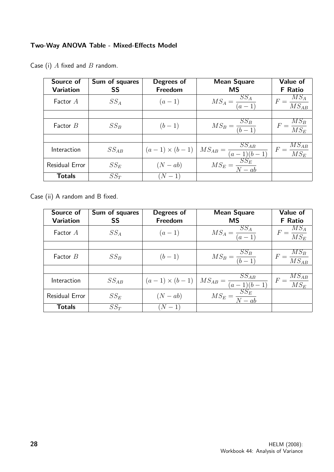## Two-Way ANOVA Table - Mixed-Effects Model

| Source of<br><b>Variation</b> | Sum of squares<br><b>SS</b> | Degrees of<br>Freedom | <b>Mean Square</b><br><b>MS</b>                                           | Value of<br><b>F</b> Ratio              |
|-------------------------------|-----------------------------|-----------------------|---------------------------------------------------------------------------|-----------------------------------------|
| Factor A                      | $SS_A$                      | $(a-1)$               | $MS_A = \frac{SS_A}{(a-1)}$                                               | $\frac{MS_A}{MS_{AB}}$                  |
|                               |                             |                       |                                                                           |                                         |
| Factor $B$                    | $SS_B$                      | $(b-1)$               | $MS_B = \frac{SS_B}{(b-1)}$                                               | $F = \frac{MS_B}{MS_E}$                 |
|                               |                             |                       |                                                                           |                                         |
| Interaction                   | $SS_{AB}$                   | $(a-1) \times (b-1)$  | $\frac{MS_{AB} = \frac{SS_{AB}}{(a-1)(b-1)}}{MS_E = \frac{SS_E}{N - ab}}$ | $MS_{AB}$<br>$F =$<br>$\overline{MS_E}$ |
| Residual Error                | $SS_E$                      | $(N - ab)$            |                                                                           |                                         |
| <b>Totals</b>                 | $SS_T$                      | $N-1$                 |                                                                           |                                         |

Case (i)  $A$  fixed and  $B$  random.

Case (ii) A random and B fixed.

| Source of<br><b>Variation</b> | Sum of squares<br>SS | Degrees of<br>Freedom | <b>Mean Square</b><br><b>MS</b>                                           | Value of<br><b>F</b> Ratio  |
|-------------------------------|----------------------|-----------------------|---------------------------------------------------------------------------|-----------------------------|
| Factor $A$                    | $SS_A$               | $(a-1)$               | $MS_A = \frac{SS_A}{(a-1)}$                                               | $F = \frac{MS_A}{MS_E}$     |
|                               |                      |                       |                                                                           |                             |
| Factor $B$                    | $SS_B$               | $(b-1)$               | $MS_B = \frac{SS_B}{(b-1)}$                                               | $F = \frac{MS_B}{MS_{AB}}$  |
|                               |                      |                       |                                                                           |                             |
| Interaction                   | $SS_{AB}$            | $(a-1) \times (b-1)$  | $\frac{MS_{AB} = \frac{SS_{AB}}{(a-1)(b-1)}}{MS_E = \frac{SS_E}{N - ab}}$ | $F = \frac{MS_{AB}}{M S_E}$ |
| Residual Error                | $SS_E$               | $(N - ab)$            |                                                                           |                             |
| <b>Totals</b>                 | $SS_T$               | $(N-1)$               |                                                                           |                             |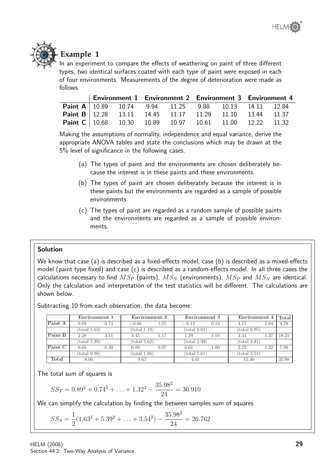

# **Example 1**

In an experiment to compare the effects of weathering on paint of three different types, two identical surfaces coated with each type of paint were exposed in each of four environments. Measurements of the degree of deterioration were made as follows.

|                                                                         |  | Environment 1 Environment 2 Environment 3 Environment 4                             |  |  |
|-------------------------------------------------------------------------|--|-------------------------------------------------------------------------------------|--|--|
|                                                                         |  | <b>Paint A</b>   10.89    10.74    9.94    11.25    9.88    10.13    14.11    12.84 |  |  |
| <b>Paint B</b>   12.28 13.11 14.45 11.17 11.29 11.10 13.44 11.37        |  |                                                                                     |  |  |
| <b>Paint C</b>   10.68  10.30  10.89  10.97  10.61  11.00  12.22  11.32 |  |                                                                                     |  |  |

Making the assumptions of normality, independence and equal variance, derive the appropriate ANOVA tables and state the conclusions which may be drawn at the 5% level of significance in the following cases.

- (a) The types of paint and the environments are chosen deliberately because the interest is in these paints and these environments.
- (b) The types of paint are chosen deliberately because the interest is in these paints but the environments are regarded as a sample of possible environments.
- (c) The types of paint are regarded as a random sample of possible paints and the environments are regarded as a sample of possible environments.

## Solution

We know that case (a) is described as a fixed-effects model, case (b) is described as a mixed-effects model (paint type fixed) and case (c) is described as a random-effects model. In all three cases the calculations necessary to find  $MS_P$  (paints),  $MS_N$  (environments),  $MS_P$  and  $MS_N$  are identical. Only the calculation and interpretation of the test statistics will be different. The calculations are shown below.

Subtracting 10 from each observation, the data become:

|         |              | Environment 1 | Environment 2 |      | Environment 3          |      | Environment 4          |      | Total |
|---------|--------------|---------------|---------------|------|------------------------|------|------------------------|------|-------|
| Paint A | 0.89         | 0.74          | $-0.06$       | 1.25 | $-0.12$                | 0.13 | 4.11                   | 2.84 | 9.78  |
|         | (total 1.63) |               | (total 1.19)  |      | $(total\ 0.01)$        |      | (total 6.95)           |      |       |
| Paint B | 2.28         | 3.11          | 4.45          | 1.17 | 1.29                   | 1.10 | 3.44                   | 1.37 | 18.21 |
|         | (total 5.39) |               | (total 5.62)  |      | (total 2.39)           |      | $(\text{total } 4.81)$ |      |       |
| Paint C | 0.68         | 0.30          | 0.89          | 0.97 | 0.61                   | 1.00 | 2.22                   | 1.32 | 7.99  |
|         | (total 0.98) |               | (total 1.86)  |      | $(\text{total } 1.61)$ |      | (total 3.54)           |      |       |
| Total   | 8.00         |               | 8.67          |      | 4.01                   |      | 15.30                  |      | 35.98 |

The total sum of squares is

$$
SS_T = 0.89^2 + 0.74^2 + \ldots + 1.32^2 - \frac{35.98^2}{24} = 36.910
$$

We can simplify the calculation by finding the between samples sum of squares

$$
SS_S = \frac{1}{2}(1.63^2 + 5.39^2 + \dots + 3.54^2) - \frac{35.98^2}{24} = 26.762
$$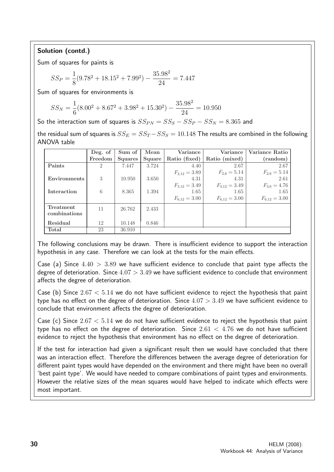## Solution (contd.)

Sum of squares for paints is

$$
SS_P = \frac{1}{8}(9.78^2 + 18.15^2 + 7.99^2) - \frac{35.98^2}{24} = 7.447
$$

Sum of squares for environments is

$$
SS_N = \frac{1}{6}(8.00^2 + 8.67^2 + 3.98^2 + 15.30^2) - \frac{35.98^2}{24} = 10.950
$$

So the interaction sum of squares is  $SS_{PN} = SS_S - SS_P - SS_N = 8.365$  and

the residual sum of squares is  $SS_E = SS_T - SS_S = 10.148$  The results are combined in the following ANOVA table

|                           | Deg. of        | Sum of         | Mean   | Variance          | Variance          | Variance Ratio    |
|---------------------------|----------------|----------------|--------|-------------------|-------------------|-------------------|
|                           | Freedom        | <b>Squares</b> | Square | Ratio (fixed)     | Ratio (mixed)     | (random)          |
| Paints                    | $\overline{2}$ | 7.447          | 3.724  | 4.40              | 2.67              | 2.67              |
|                           |                |                |        | $F_{2,12} = 3.89$ | $F_{2,6} = 5.14$  | $F_{2,6} = 5.14$  |
| Environments              | 3              | 10.950         | 3.650  | 4.31              | 4.31              | 2.61              |
|                           |                |                |        | $F_{3,12} = 3.49$ | $F_{3,12} = 3.49$ | $F_{3,6} = 4.76$  |
| Interaction               | 6              | 8.365          | 1.394  | 1.65              | 1.65              | 1.65              |
|                           |                |                |        | $F_{6,12} = 3.00$ | $F_{6,12} = 3.00$ | $F_{6,12} = 3.00$ |
| Treatment<br>combinations | 11             | 26.762         | 2.433  |                   |                   |                   |
| Residual                  | 12             | 10.148         | 0.846  |                   |                   |                   |
| Total                     | 23             | 36.910         |        |                   |                   |                   |

The following conclusions may be drawn. There is insufficient evidence to support the interaction hypothesis in any case. Therefore we can look at the tests for the main effects.

Case (a) Since  $4.40 > 3.89$  we have sufficient evidence to conclude that paint type affects the degree of deterioration. Since  $4.07 > 3.49$  we have sufficient evidence to conclude that environment affects the degree of deterioration.

Case (b) Since  $2.67 < 5.14$  we do not have sufficient evidence to reject the hypothesis that paint type has no effect on the degree of deterioration. Since  $4.07 > 3.49$  we have sufficient evidence to conclude that environment affects the degree of deterioration.

Case (c) Since  $2.67 < 5.14$  we do not have sufficient evidence to reject the hypothesis that paint type has no effect on the degree of deterioration. Since  $2.61 < 4.76$  we do not have sufficient evidence to reject the hypothesis that environment has no effect on the degree of deterioration.

If the test for interaction had given a significant result then we would have concluded that there was an interaction effect. Therefore the differences between the average degree of deterioration for different paint types would have depended on the environment and there might have been no overall 'best paint type'. We would have needed to compare combinations of paint types and environments. However the relative sizes of the mean squares would have helped to indicate which effects were most important.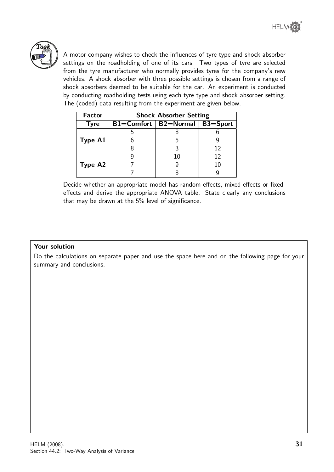

A motor company wishes to check the influences of tyre type and shock absorber settings on the roadholding of one of its cars. Two types of tyre are selected from the tyre manufacturer who normally provides tyres for the company's new vehicles. A shock absorber with three possible settings is chosen from a range of shock absorbers deemed to be suitable for the car. An experiment is conducted by conducting roadholding tests using each tyre type and shock absorber setting. The (coded) data resulting from the experiment are given below.

| <b>Factor</b> | <b>Shock Absorber Setting</b> |                                   |    |  |  |  |
|---------------|-------------------------------|-----------------------------------|----|--|--|--|
| <b>Tyre</b>   |                               | B1=Comfort   B2=Normal   B3=Sport |    |  |  |  |
|               |                               |                                   |    |  |  |  |
| Type A1       |                               |                                   |    |  |  |  |
|               |                               |                                   | 12 |  |  |  |
|               |                               | 10                                | 12 |  |  |  |
| Type A2       |                               |                                   | 10 |  |  |  |
|               |                               |                                   |    |  |  |  |

Decide whether an appropriate model has random-effects, mixed-effects or fixedeffects and derive the appropriate ANOVA table. State clearly any conclusions that may be drawn at the 5% level of significance.

#### Your solution

Do the calculations on separate paper and use the space here and on the following page for your summary and conclusions.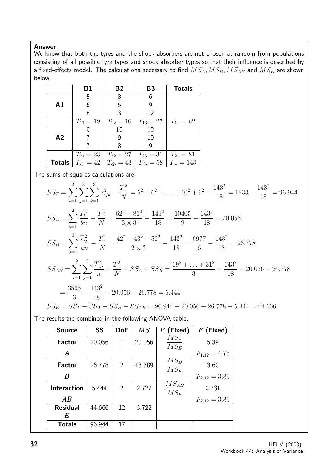#### Answer

We know that both the tyres and the shock absorbers are not chosen at random from populations consisting of all possible tyre types and shock absorber types so that their influence is described by a fixed-effects model. The calculations necessary to find  $MS_A, MS_B, MS_{AB}$  and  $MS_E$  are shown below.

|                | Β1            | <b>B2</b>                                               | B <sub>3</sub> | <b>Totals</b>                                                        |
|----------------|---------------|---------------------------------------------------------|----------------|----------------------------------------------------------------------|
|                | 5             | 8                                                       | 6              |                                                                      |
| $\mathsf{A}1$  | 6             | 5                                                       | 9              |                                                                      |
|                | 8             | 3                                                       | 12             |                                                                      |
|                | $T_{11} = 19$ | $T_{12} = 16$                                           | $ T_{13}=27 $  | $T_{1} = 62$                                                         |
|                |               | 10                                                      | 12             |                                                                      |
| A <sub>2</sub> |               |                                                         | 10             |                                                                      |
|                |               | 8                                                       | 9              |                                                                      |
|                |               | $T_{21} = 23   T_{22} = 27   T_{23} = 31   T_{23} = 81$ |                |                                                                      |
|                |               |                                                         |                | <b>Totals</b> $T_{.1} = 42   T_{.2} = 43   T_{.3} = 58   T_{} = 143$ |

The sums of squares calculations are:

$$
SS_T = \sum_{i=1}^{2} \sum_{j=1}^{3} \sum_{k=1}^{3} x_{ijk}^2 - \frac{T_{\dots}^2}{N} = 5^2 + 6^2 + \dots + 10^2 + 9^2 - \frac{143^2}{18} = 1233 - \frac{143^2}{18} = 96.944
$$
  
\n
$$
SS_A = \sum_{i=1}^{2} \frac{T_{i\cdot}^2}{bn} - \frac{T_{\dots}^2}{N} = \frac{62^2 + 81^2}{3 \times 3} - \frac{143^2}{18} = \frac{10405}{9} - \frac{143^2}{18} = 20.056
$$
  
\n
$$
SS_B = \sum_{j=1}^{3} \frac{T_{\cdot j}^2}{an} - \frac{T_{\dots}^2}{N} = \frac{42^2 + 43^2 + 58^2}{2 \times 3} - \frac{143^2}{18} = \frac{6977}{6} - \frac{143^2}{18} = 26.778
$$
  
\n
$$
SS_{AB} = \sum_{i=1}^{2} \sum_{j=1}^{3} \frac{T_{ij}^2}{n} - \frac{T_{\dots}^2}{N} - SS_A - SS_B = \frac{19^2 + \dots + 31^2}{3} - \frac{143^2}{18} - 20.056 - 26.778
$$
  
\n
$$
= \frac{3565}{3} - \frac{143^2}{18} - 20.056 - 26.778 = 5.444
$$
  
\n
$$
SS_E = SS_T - SS_A - SS_B - SS_{AB} = 96.944 - 20.056 - 26.778 - 5.444 = 44.666
$$

The results are combined in the following ANOVA table.

| <b>Source</b>      | <b>SS</b> | <b>DoF</b>     | $\overline{MS}$ | (Fixed)<br>$\bm{F}$         | $F$ (Fixed)       |
|--------------------|-----------|----------------|-----------------|-----------------------------|-------------------|
| <b>Factor</b>      | 20.056    | 1              | 20.056          | $MS_A$<br>$MS_E$            | 5.39              |
| $\boldsymbol{A}$   |           |                |                 |                             | $F_{1,12} = 4.75$ |
| <b>Factor</b>      | 26.778    | $\overline{2}$ | 13.389          | $\overline{MS_B}$<br>$MS_E$ | 3.60              |
| B                  |           |                |                 |                             | $F_{2,12} = 3.89$ |
| <b>Interaction</b> | 5.444     | $\overline{2}$ | 2.722           | $MS_{AB}$<br>$MS_E$         | 0.731             |
| AB                 |           |                |                 |                             | $F_{2,12} = 3.89$ |
| <b>Residual</b>    | 44.666    | 12             | 3.722           |                             |                   |
| E                  |           |                |                 |                             |                   |
| <b>Totals</b>      | 96.944    | 17             |                 |                             |                   |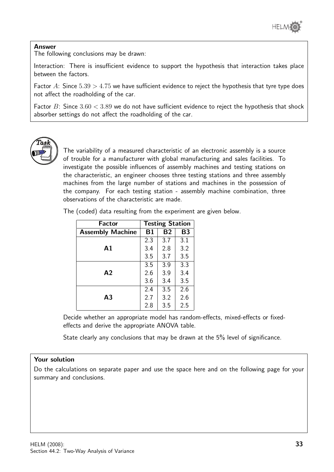

#### Answer

The following conclusions may be drawn:

Interaction: There is insufficient evidence to support the hypothesis that interaction takes place between the factors.

Factor A: Since  $5.39 > 4.75$  we have sufficient evidence to reject the hypothesis that tyre type does not affect the roadholding of the car.

Factor B: Since  $3.60 < 3.89$  we do not have sufficient evidence to reject the hypothesis that shock absorber settings do not affect the roadholding of the car.



The variability of a measured characteristic of an electronic assembly is a source of trouble for a manufacturer with global manufacturing and sales facilities. To investigate the possible influences of assembly machines and testing stations on the characteristic, an engineer chooses three testing stations and three assembly machines from the large number of stations and machines in the possession of the company. For each testing station - assembly machine combination, three observations of the characteristic are made.

The (coded) data resulting from the experiment are given below.

| <b>Factor</b>           | <b>Testing Station</b> |           |           |
|-------------------------|------------------------|-----------|-----------|
| <b>Assembly Machine</b> | <b>B1</b>              | <b>B2</b> | <b>B3</b> |
|                         | 2.3                    | 3.7       | 3.1       |
| $\mathbf{A}1$           | 3.4                    | 2.8       | 3.2       |
|                         | 3.5                    | 3.7       | 3.5       |
|                         | 3.5                    | 3.9       | 3.3       |
| A <sub>2</sub>          | 2.6                    | 3.9       | 3.4       |
|                         | 3.6                    | 3.4       | 3.5       |
|                         | 2.4                    | 3.5       | 2.6       |
| A <sub>3</sub>          | 2.7                    | 3.2       | 2.6       |
|                         | 2.8                    | 3.5       | 2.5       |

Decide whether an appropriate model has random-effects, mixed-effects or fixedeffects and derive the appropriate ANOVA table.

State clearly any conclusions that may be drawn at the 5% level of significance.

#### Your solution

Do the calculations on separate paper and use the space here and on the following page for your summary and conclusions.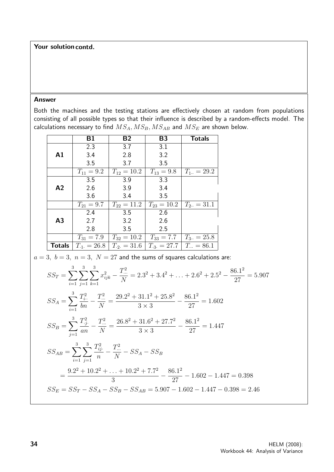#### Your solution contd.

#### Answer

Both the machines and the testing stations are effectively chosen at random from populations consisting of all possible types so that their influence is described by a random-effects model. The calculations necessary to find  $MS_A, MS_B, MS_{AB}$  and  $MS_E$  are shown below.

|                | Β1              | <b>B2</b>        | <b>B3</b>                         | <b>Totals</b>  |
|----------------|-----------------|------------------|-----------------------------------|----------------|
|                | 2.3             | 3.7              | 3.1                               |                |
| $\mathbf{A1}$  | 3.4             | 2.8              | 3.2                               |                |
|                | 3.5             | 3.7              | 3.5                               |                |
|                | $T_{11} = 9.2$  | $T_{12} = 10.2$  | $T_{13} = 9.8$                    | $T_{1} = 29.2$ |
|                | 3.5             | 3.9              | 3.3                               |                |
| A2             | 2.6             | 3.9              | 3.4                               |                |
|                | 3.6             | 3.4              | 3.5                               |                |
|                | $T_{21} = 9.7$  | $T_{22} = 11.2$  | $T_{23} = 10.2$                   | $T_{2} = 31.1$ |
|                | 2.4             | 3.5              | 2.6                               |                |
| A <sub>3</sub> | 2.7             | 3.2              | 2.6                               |                |
|                | 2.8             | 3.5              | 2.5                               |                |
|                | $T_{31} = 7.9$  | $T_{32} = 10.2$  | $T_{33} = 7.7$                    | $T_{3} = 25.8$ |
| <b>Totals</b>  | $T_{11} = 26.8$ | $T_{.2.} = 31.6$ | $T_{.3.} = 27.7 \mid T_{} = 86.1$ |                |

$$
a=3,\ b=3,\ n=3,\ N=27\ \text{and the sums of squares calculations are:}
$$

$$
SS_T = \sum_{i=1}^{3} \sum_{j=1}^{3} \sum_{k=1}^{3} x_{ijk}^2 - \frac{T_{..}^2}{N} = 2.3^2 + 3.4^2 + \dots + 2.6^2 + 2.5^2 - \frac{86.1^2}{27} = 5.907
$$
  
\n
$$
SS_A = \sum_{i=1}^{3} \frac{T_{i..}^2}{bn} - \frac{T_{..}^2}{N} = \frac{29.2^2 + 31.1^2 + 25.8^2}{3 \times 3} - \frac{86.1^2}{27} = 1.602
$$
  
\n
$$
SS_B = \sum_{j=1}^{3} \frac{T_{.j}^2}{an} - \frac{T_{..}^2}{N} = \frac{26.8^2 + 31.6^2 + 27.7^2}{3 \times 3} - \frac{86.1^2}{27} = 1.447
$$
  
\n
$$
SS_{AB} = \sum_{i=1}^{3} \sum_{j=1}^{3} \frac{T_{ij}^2}{n} - \frac{T_{..}^2}{N} - SS_A - SS_B
$$
  
\n
$$
= \frac{9.2^2 + 10.2^2 + \dots + 10.2^2 + 7.7^2}{3} - \frac{86.1^2}{27} - 1.602 - 1.447 = 0.398
$$
  
\n
$$
SS_E = SS_T - SS_A - SS_B - SS_{AB} = 5.907 - 1.602 - 1.447 - 0.398 = 2.46
$$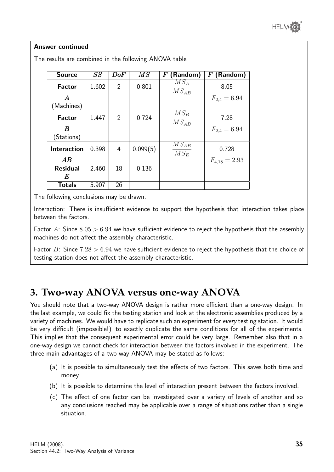

#### Answer continued

| <b>Source</b>      | SS    | DoF | $\overline{MS}$ | (Random)<br>$\bm{F}$           | (Random)<br>$\bm{F}$ |
|--------------------|-------|-----|-----------------|--------------------------------|----------------------|
| Factor             | 1.602 | 2   | 0.801           | $MS_A$<br>$MS_{AB}$            | 8.05                 |
| $\bm{A}$           |       |     |                 |                                | $F_{2,4} = 6.94$     |
| (Machines)         |       |     |                 |                                |                      |
| <b>Factor</b>      | 1.447 | 2   | 0.724           | $\overline{MS_B}$<br>$MS_{AB}$ | 7.28                 |
| B                  |       |     |                 |                                | $F_{2,4} = 6.94$     |
| (Stations)         |       |     |                 |                                |                      |
| <b>Interaction</b> | 0.398 | 4   | 0.099(5)        | $\overline{MS_{AB}}$<br>$MS_E$ | 0.728                |
| AB                 |       |     |                 |                                | $F_{4,18} = 2.93$    |
| <b>Residual</b>    | 2.460 | 18  | 0.136           |                                |                      |
| E                  |       |     |                 |                                |                      |
| <b>Totals</b>      | 5.907 | 26  |                 |                                |                      |

The results are combined in the following ANOVA table

The following conclusions may be drawn.

Interaction: There is insufficient evidence to support the hypothesis that interaction takes place between the factors.

Factor A: Since  $8.05 > 6.94$  we have sufficient evidence to reject the hypothesis that the assembly machines do not affect the assembly characteristic.

Factor B: Since  $7.28 > 6.94$  we have sufficient evidence to reject the hypothesis that the choice of testing station does not affect the assembly characteristic.

# **3. Two-way ANOVA versus one-way ANOVA**

You should note that a two-way ANOVA design is rather more efficient than a one-way design. In the last example, we could fix the testing station and look at the electronic assemblies produced by a variety of machines. We would have to replicate such an experiment for every testing station. It would be very difficult (impossible!) to exactly duplicate the same conditions for all of the experiments. This implies that the consequent experimental error could be very large. Remember also that in a one-way design we cannot check for interaction between the factors involved in the experiment. The three main advantages of a two-way ANOVA may be stated as follows:

- (a) It is possible to simultaneously test the effects of two factors. This saves both time and money.
- (b) It is possible to determine the level of interaction present between the factors involved.
- (c) The effect of one factor can be investigated over a variety of levels of another and so any conclusions reached may be applicable over a range of situations rather than a single situation.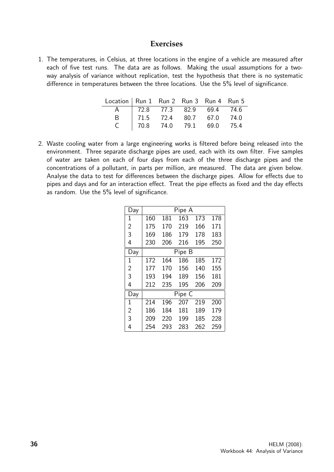#### **Exercises**

1. The temperatures, in Celsius, at three locations in the engine of a vehicle are measured after each of five test runs. The data are as follows. Making the usual assumptions for a twoway analysis of variance without replication, test the hypothesis that there is no systematic difference in temperatures between the three locations. Use the 5% level of significance.

| Location   Run 1 Run 2 Run 3 Run 4 Run 5 |                                                                                        |  |  |
|------------------------------------------|----------------------------------------------------------------------------------------|--|--|
|                                          |                                                                                        |  |  |
|                                          |                                                                                        |  |  |
|                                          | A 72.8 77.3 82.9 69.4 74.6<br>B 71.5 72.4 80.7 67.0 74.0<br>C 70.8 74.0 79.1 69.0 75.4 |  |  |

2. Waste cooling water from a large engineering works is filtered before being released into the environment. Three separate discharge pipes are used, each with its own filter. Five samples of water are taken on each of four days from each of the three discharge pipes and the concentrations of a pollutant, in parts per million, are measured. The data are given below. Analyse the data to test for differences between the discharge pipes. Allow for effects due to pipes and days and for an interaction effect. Treat the pipe effects as fixed and the day effects as random. Use the 5% level of significance.

| Day            | Pipe A |     |        |     |     |
|----------------|--------|-----|--------|-----|-----|
| 1              | 160    | 181 | 163    | 173 | 178 |
| $\overline{2}$ | 175    | 170 | 219    | 166 | 171 |
| 3              | 169    | 186 | 179    | 178 | 183 |
| 4              | 230    | 206 | 216    | 195 | 250 |
| Day            |        |     | Pipe B |     |     |
| 1              | 172    | 164 | 186    | 185 | 172 |
| $\overline{2}$ | 177    | 170 | 156    | 140 | 155 |
| 3              | 193    | 194 | 189    | 156 | 181 |
| 4              | 212    | 235 | 195    | 206 | 209 |
| Day            |        |     | Pipe C |     |     |
| 1              | 214    | 196 | 207    | 219 | 200 |
| $\overline{2}$ | 186    | 184 | 181    | 189 | 179 |
| 3              | 209    | 220 | 199    | 185 | 228 |
| 4              | 254    | 293 | 283    | 262 | 259 |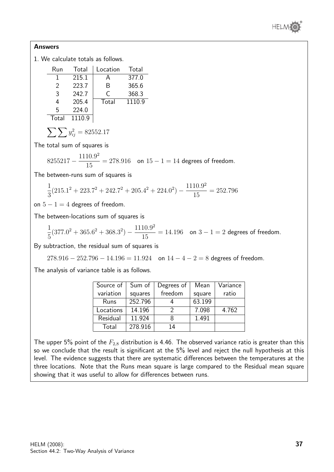

#### Answers

1. We calculate totals as follows.

| Run   | Total  | Location | Total  |
|-------|--------|----------|--------|
| 1     | 215.1  | А        | 377.0  |
| 2     | 223.7  | B        | 365.6  |
| 3     | 242.7  | C        | 368.3  |
| 4     | 205.4  | Total    | 1110.9 |
| 5     | 224.0  |          |        |
| Total | 1110.9 |          |        |

$$
\sum \sum y_{ij}^2 = 82552.17
$$

The total sum of squares is

$$
8255217 - \frac{1110.9^2}{15} = 278.916
$$
 on  $15 - 1 = 14$  degrees of freedom.

The between-runs sum of squares is

$$
\frac{1}{3}(215.1^2 + 223.7^2 + 242.7^2 + 205.4^2 + 224.0^2) - \frac{1110.9^2}{15} = 252.796
$$

on  $5 - 1 = 4$  degrees of freedom.

The between-locations sum of squares is

$$
\frac{1}{5}(377.0^2 + 365.6^2 + 368.3^2) - \frac{1110.9^2}{15} = 14.196
$$
 on  $3 - 1 = 2$  degrees of freedom.

By subtraction, the residual sum of squares is

$$
278.916 - 252.796 - 14.196 = 11.924
$$
 on  $14 - 4 - 2 = 8$  degrees of freedom.

The analysis of variance table is as follows.

| Source of | Sum of  | Degrees of | Mean   | Variance |
|-----------|---------|------------|--------|----------|
| variation | squares | freedom    | square | ratio    |
| Runs      | 252.796 |            | 63.199 |          |
| Locations | 14.196  |            | 7.098  | 4.762    |
| Residual  | 11.924  |            | 1.491  |          |
| Total     | 278.916 | 14         |        |          |

The upper 5% point of the  $F_{2,8}$  distribution is 4.46. The observed variance ratio is greater than this so we conclude that the result is significant at the 5% level and reject the null hypothesis at this level. The evidence suggests that there are systematic differences between the temperatures at the three locations. Note that the Runs mean square is large compared to the Residual mean square showing that it was useful to allow for differences between runs.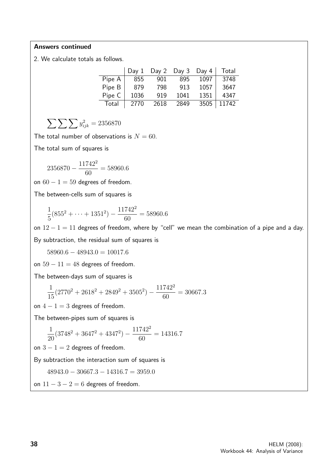#### Answers continued

2. We calculate totals as follows.

|        | Day 1 | Day 2 | Day 3 | Day 4 | Total |
|--------|-------|-------|-------|-------|-------|
| Pipe A | 855   | 901   | 895   | 1097  | 3748  |
| Pipe B | 879   | 798   | 913   | 1057  | 3647  |
| Pipe C | 1036  | 919   | 1041  | 1351  | 4347  |
| Total  | 2770  | 2618  | 2849  | 3505  | 11742 |

$$
\sum \sum \sum y_{ijk}^2 = 2356870
$$

The total number of observations is  $N = 60$ .

The total sum of squares is

$$
2356870 - \frac{11742^2}{60} = 58960.6
$$

on  $60 - 1 = 59$  degrees of freedom.

The between-cells sum of squares is

$$
\frac{1}{5}(855^2 + \dots + 1351^2) - \frac{11742^2}{60} = 58960.6
$$

on  $12 - 1 = 11$  degrees of freedom, where by "cell" we mean the combination of a pipe and a day. By subtraction, the residual sum of squares is

 $58960.6 - 48943.0 = 10017.6$ 

on  $59 - 11 = 48$  degrees of freedom.

The between-days sum of squares is

$$
\frac{1}{15}(2770^2 + 2618^2 + 2849^2 + 3505^2) - \frac{11742^2}{60} = 30667.3
$$

on  $4 - 1 = 3$  degrees of freedom.

The between-pipes sum of squares is

$$
\frac{1}{20}(3748^2 + 3647^2 + 4347^2) - \frac{11742^2}{60} = 14316.7
$$

on  $3 - 1 = 2$  degrees of freedom.

By subtraction the interaction sum of squares is

 $48943.0 - 30667.3 - 14316.7 = 3959.0$ 

on  $11 - 3 - 2 = 6$  degrees of freedom.